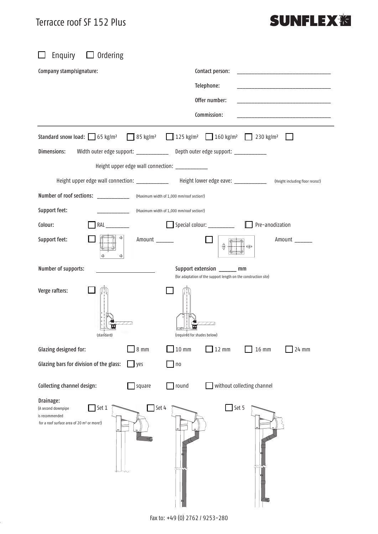$\Box$  $\Box$  $\Box$  $\Box$  $\Box$  $\Box$  $\Box$  $\Box$  $\overline{\phantom{a}}$  $\begin{array}{ccccccccccccccccc} \Box & & \Box & & \Box & & \Box \end{array}$  $\Box$  $\Box$  $\Box$  $\Box$  $\hfill \square$  $\Box$  $\Box$  $\Box$ 

 $\Box$ 

 $\Box$  and  $\Box$  . <br> <br> <br> <br> <br> <br> <br>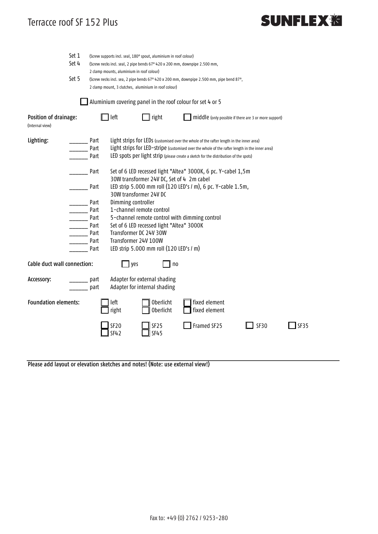## Terracce roof SF 152 Plus  $S<sub>1</sub>$  showed before  $S<sub>2</sub>$  Plus

## **SUNFLEX<sub>泡</sub>**

|                                                                       | Set 1                                                                                                                                                     | (Screw supports incl. seal, 180° spout, aluminium in roof colour)                                      |                                                                                                     |                                                              |                                                                                          |      |      |
|-----------------------------------------------------------------------|-----------------------------------------------------------------------------------------------------------------------------------------------------------|--------------------------------------------------------------------------------------------------------|-----------------------------------------------------------------------------------------------------|--------------------------------------------------------------|------------------------------------------------------------------------------------------|------|------|
|                                                                       | Set 4                                                                                                                                                     | (Screw necks incl. seal, 2 pipe bends 67° 420 x 200 mm, downpipe 2.500 mm,                             |                                                                                                     |                                                              |                                                                                          |      |      |
|                                                                       |                                                                                                                                                           | 2 clamp mounts, aluminium in roof colour)                                                              |                                                                                                     |                                                              |                                                                                          |      |      |
|                                                                       | Set 5<br>(Screw necks incl. sea, 2 pipe bends 67° 420 x 200 mm, downpipe 2.500 mm, pipe bend 87°,<br>2 clamp mount, 3 clutches, aluminium in roof colour) |                                                                                                        |                                                                                                     |                                                              |                                                                                          |      |      |
|                                                                       |                                                                                                                                                           |                                                                                                        |                                                                                                     |                                                              |                                                                                          |      |      |
|                                                                       |                                                                                                                                                           |                                                                                                        |                                                                                                     |                                                              |                                                                                          |      |      |
| Aluminium covering panel in the roof colour for set 4 or 5            |                                                                                                                                                           |                                                                                                        |                                                                                                     |                                                              |                                                                                          |      |      |
| Position of drainage:<br>(External view)                              |                                                                                                                                                           |                                                                                                        | $\mathbf{\mathbb{I}}$ right<br>$\Box$ left<br>middle (only possible if there are 3 or more support) |                                                              |                                                                                          |      |      |
| Lighting:                                                             |                                                                                                                                                           | Part                                                                                                   |                                                                                                     |                                                              | Light strips for LEDs (customised over the whole of the rafter length in the inner area) |      |      |
|                                                                       |                                                                                                                                                           | Light strips for LED-stripe (customised over the whole of the rafter length in the inner area)<br>Part |                                                                                                     |                                                              |                                                                                          |      |      |
|                                                                       |                                                                                                                                                           | Part<br>LED spots per light strip (please create a sketch for the distribution of the spots)           |                                                                                                     |                                                              |                                                                                          |      |      |
| Set of 6 LED recessed light "Altea" 3000K, 6 pc. Y-cabel 1,5m<br>Part |                                                                                                                                                           |                                                                                                        |                                                                                                     |                                                              |                                                                                          |      |      |
|                                                                       | 30W transformer 24V DC, Set of 4 2m cabel                                                                                                                 |                                                                                                        |                                                                                                     |                                                              |                                                                                          |      |      |
|                                                                       |                                                                                                                                                           | LED strip 5.000 mm roll (120 LED's / m), 6 pc. Y-cable 1.5m,<br>Part                                   |                                                                                                     |                                                              |                                                                                          |      |      |
|                                                                       |                                                                                                                                                           | 30W transformer 24V DC                                                                                 |                                                                                                     |                                                              |                                                                                          |      |      |
|                                                                       |                                                                                                                                                           | Dimming controller<br>Part                                                                             |                                                                                                     |                                                              |                                                                                          |      |      |
|                                                                       |                                                                                                                                                           | Part<br>1-channel remote control                                                                       |                                                                                                     |                                                              |                                                                                          |      |      |
| 5-channel remote control with dimming control<br>Part                 |                                                                                                                                                           |                                                                                                        |                                                                                                     |                                                              |                                                                                          |      |      |
|                                                                       | Set of 6 LED recessed light "Altea" 3000K<br>Part                                                                                                         |                                                                                                        |                                                                                                     |                                                              |                                                                                          |      |      |
|                                                                       |                                                                                                                                                           | Transformer DC 24V 30W<br>Part                                                                         |                                                                                                     |                                                              |                                                                                          |      |      |
|                                                                       |                                                                                                                                                           | Transformer 24V 100W<br>Part                                                                           |                                                                                                     |                                                              |                                                                                          |      |      |
|                                                                       |                                                                                                                                                           | Part                                                                                                   |                                                                                                     | LED strip 5.000 mm roll (120 LED's / m)                      |                                                                                          |      |      |
| Cable duct wall connection:                                           |                                                                                                                                                           |                                                                                                        | $\mathsf{\rfloor}$ yes                                                                              | no                                                           |                                                                                          |      |      |
| Accessory:                                                            |                                                                                                                                                           | part<br>part                                                                                           |                                                                                                     | Adapter for external shading<br>Adapter for internal shading |                                                                                          |      |      |
| <b>Foundation elements:</b>                                           |                                                                                                                                                           |                                                                                                        | left<br>right                                                                                       | <b>Oberlicht</b><br><b>Oberlicht</b>                         | fixed element<br>fixed element                                                           |      |      |
|                                                                       |                                                                                                                                                           |                                                                                                        | SF20<br><b>SF42</b>                                                                                 | SF25<br><b>SF45</b>                                          | Framed SF25                                                                              | SF30 | SF35 |
|                                                                       |                                                                                                                                                           |                                                                                                        |                                                                                                     |                                                              |                                                                                          |      |      |

Please add layout or elevation sketches and notes! (Note: use external view!)